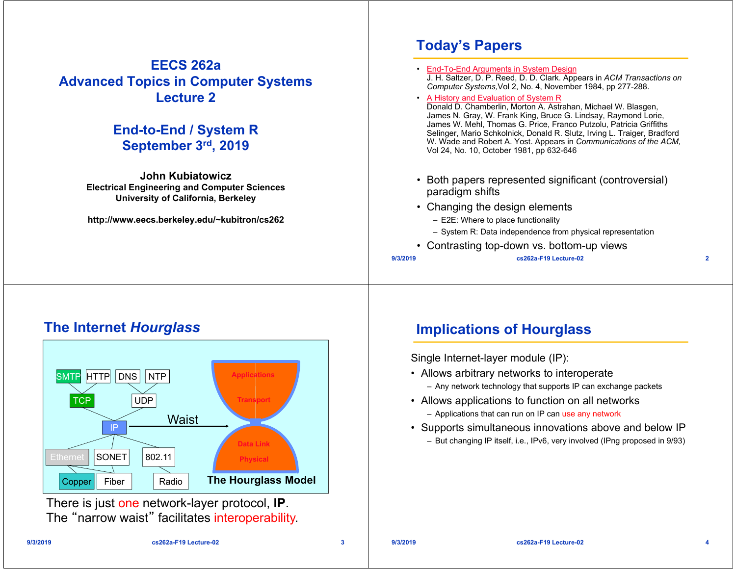#### **EECS 262a Advanced Topics in Computer Systems Lecture 2**

#### **End-to-End / System R September 3rd, 2019**

**John KubiatowiczElectrical Engineering and Computer Sciences University of California, Berkeley**

**http://www.eecs.berkeley.edu/~kubitron/cs262**

# **Today's Papers**

**9/3/2019 cs262a-F19 Lecture-02 2** • End-To-End Arguments in System Design J. H. Saltzer, D. P. Reed, D. D. Clark. Appears in *ACM Transactions on Computer Systems,*Vol 2, No. 4, November 1984, pp 277-288. • A History and Evaluation of System R Donald D. Chamberlin, Morton A. Astrahan, Michael W. Blasgen, James N. Gray, W. Frank King, Bruce G. Lindsay, Raymond Lorie, James W. Mehl, Thomas G. Price, Franco Putzolu, Patricia Griffiths Selinger, Mario Schkolnick, Donald R. Slutz, Irving L. Traiger, Bradford W. Wade and Robert A. Yost. Appears in *Communications of the ACM,*  Vol 24, No. 10, October 1981, pp 632-646 • Both papers represented significant (controversial) paradigm shifts • Changing the design elements – E2E: Where to place functionality – System R: Data independence from physical representation • Contrasting top-down vs. bottom-up views

#### **The Internet** *Hourglass*



There is just one network-layer protocol, **IP**. The "narrow waist" facilitates interoperability.

# **Implications of Hourglass**

Single Internet-layer module (IP):

- Allows arbitrary networks to interoperate
	- Any network technology that supports IP can exchange packets
- Allows applications to function on all networks
	- Applications that can run on IP can use any network
- Supports simultaneous innovations above and below IP – But changing IP itself, i.e., IPv6, very involved (IPng proposed in 9/93)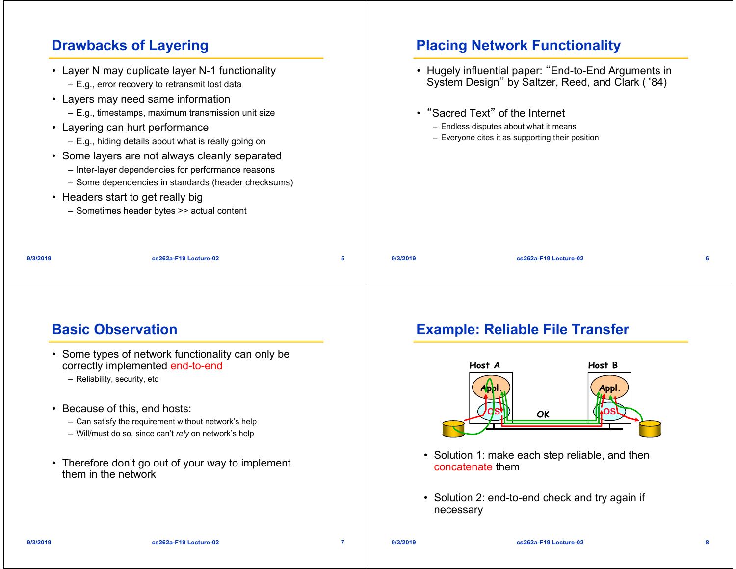# **Drawbacks of Layering**

|          | • Layer N may duplicate layer N-1 functionality<br>- E.g., error recovery to retransmit lost data                                                                                                                                                                                                                                                                                                                                         |          | • Hugely influential paper: "End-to-End Arguments in<br>System Design" by Saltzer, Reed, and Clark ('84)                      |
|----------|-------------------------------------------------------------------------------------------------------------------------------------------------------------------------------------------------------------------------------------------------------------------------------------------------------------------------------------------------------------------------------------------------------------------------------------------|----------|-------------------------------------------------------------------------------------------------------------------------------|
|          | • Layers may need same information<br>$-$ E.g., timestamps, maximum transmission unit size<br>• Layering can hurt performance<br>$-$ E.g., hiding details about what is really going on<br>• Some layers are not always cleanly separated<br>- Inter-layer dependencies for performance reasons<br>- Some dependencies in standards (header checksums)<br>• Headers start to get really big<br>- Sometimes header bytes >> actual content |          | • "Sacred Text" of the Internet<br>- Endless disputes about what it means<br>- Everyone cites it as supporting their position |
| 9/3/2019 | cs262a-F19 Lecture-02                                                                                                                                                                                                                                                                                                                                                                                                                     | 9/3/2019 | cs262a-F19 Lecture-02                                                                                                         |

#### **Basic Observation**

#### • Some types of network functionality can only be correctly implemented end-to-end

- Reliability, security, etc
- Because of this, end hosts:
	- Can satisfy the requirement without network's help
	- Will/must do so, since can't *rely* on network's help
- Therefore don't go out of your way to implement them in the network

## **Example: Reliable File Transfer**

**Placing Network Functionality**



- Solution 1: make each step reliable, and then concatenate them
- Solution 2: end-to-end check and try again if necessary

**9/3/2019**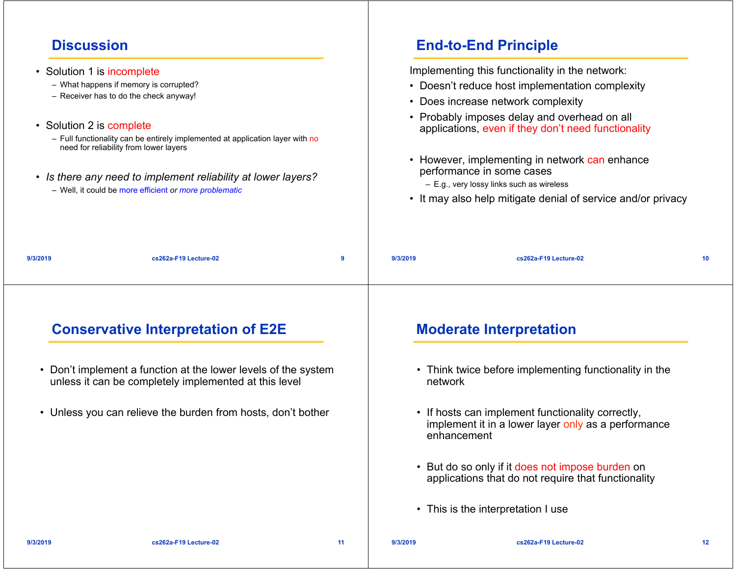# **Discussion**

| <b>Discussion</b>                                      |                                                                                                                                                                                                                                                                                                                                        |    |          | <b>End-to-End Principle</b>                                                                                                                                                                                                                                                                                                                                                                                                                 |    |
|--------------------------------------------------------|----------------------------------------------------------------------------------------------------------------------------------------------------------------------------------------------------------------------------------------------------------------------------------------------------------------------------------------|----|----------|---------------------------------------------------------------------------------------------------------------------------------------------------------------------------------------------------------------------------------------------------------------------------------------------------------------------------------------------------------------------------------------------------------------------------------------------|----|
| • Solution 1 is incomplete<br>• Solution 2 is complete | - What happens if memory is corrupted?<br>- Receiver has to do the check anyway!<br>- Full functionality can be entirely implemented at application layer with no<br>need for reliability from lower layers<br>• Is there any need to implement reliability at lower layers?<br>- Well, it could be more efficient or more problematic |    |          | Implementing this functionality in the network:<br>• Doesn't reduce host implementation complexity<br>• Does increase network complexity<br>• Probably imposes delay and overhead on all<br>applications, even if they don't need functionality<br>• However, implementing in network can enhance<br>performance in some cases<br>- E.g., very lossy links such as wireless<br>• It may also help mitigate denial of service and/or privacy |    |
| 9/3/2019                                               | cs262a-F19 Lecture-02                                                                                                                                                                                                                                                                                                                  | 9  | 9/3/2019 | cs262a-F19 Lecture-02                                                                                                                                                                                                                                                                                                                                                                                                                       | 10 |
|                                                        | <b>Conservative Interpretation of E2E</b>                                                                                                                                                                                                                                                                                              |    |          | <b>Moderate Interpretation</b>                                                                                                                                                                                                                                                                                                                                                                                                              |    |
| $\bullet$                                              | Don't implement a function at the lower levels of the system<br>unless it can be completely implemented at this level                                                                                                                                                                                                                  |    | network  | • Think twice before implementing functionality in the                                                                                                                                                                                                                                                                                                                                                                                      |    |
| ٠                                                      | Unless you can relieve the burden from hosts, don't bother                                                                                                                                                                                                                                                                             |    |          | • If hosts can implement functionality correctly,<br>implement it in a lower layer only as a performance<br>enhancement                                                                                                                                                                                                                                                                                                                     |    |
|                                                        |                                                                                                                                                                                                                                                                                                                                        |    |          | • But do so only if it does not impose burden on<br>applications that do not require that functionality                                                                                                                                                                                                                                                                                                                                     |    |
|                                                        |                                                                                                                                                                                                                                                                                                                                        |    |          | • This is the interpretation I use                                                                                                                                                                                                                                                                                                                                                                                                          |    |
| 9/3/2019                                               | cs262a-F19 Lecture-02                                                                                                                                                                                                                                                                                                                  | 11 | 9/3/2019 | cs262a-F19 Lecture-02                                                                                                                                                                                                                                                                                                                                                                                                                       | 12 |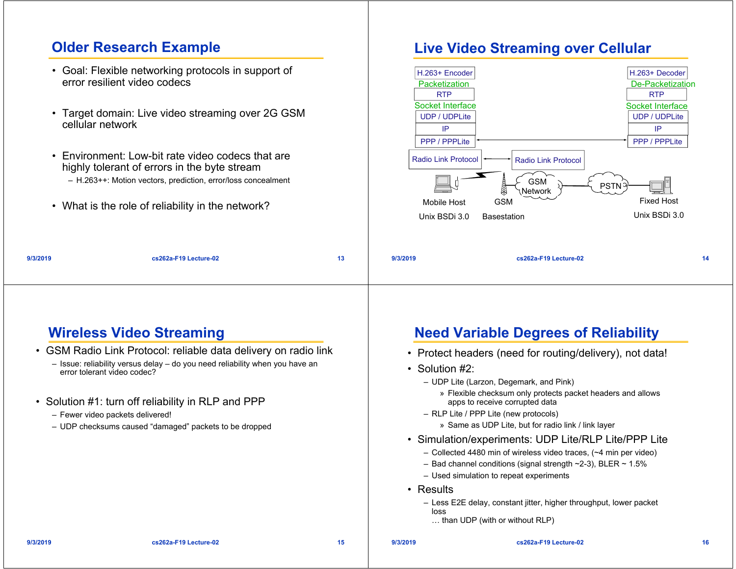#### **Older Research Example**

- Goal: Flexible networking protocols in support of error resilient video codecs
- Target domain: Live video streaming over 2G GSM cellular network
- Environment: Low-bit rate video codecs that are highly tolerant of errors in the byte stream – H.263++: Motion vectors, prediction, error/loss concealment
- What is the role of reliability in the network?

#### **Live Video Streaming over Cellular**



| 9/3/2019 |
|----------|

**cs262a-F19 Lecture-02 14**

#### **Wireless Video Streaming**

• GSM Radio Link Protocol: reliable data delivery on radio link

**cs262a-F19 Lecture-02 13**

- Issue: reliability versus delay do you need reliability when you have an error tolerant video codec?
- Solution #1: turn off reliability in RLP and PPP
	- Fewer video packets delivered!
	- UDP checksums caused "damaged" packets to be dropped

#### **Need Variable Degrees of Reliability**

- Protect headers (need for routing/delivery), not data!
- Solution #2:
	- UDP Lite (Larzon, Degemark, and Pink)
		- » Flexible checksum only protects packet headers and allows apps to receive corrupted data
	- RLP Lite / PPP Lite (new protocols)
		- » Same as UDP Lite, but for radio link / link layer
- Simulation/experiments: UDP Lite/RLP Lite/PPP Lite
	- Collected 4480 min of wireless video traces, (~4 min per video)
	- Bad channel conditions (signal strength ~2-3), BLER ~ 1.5%
	- Used simulation to repeat experiments
- Results

**9/3/2019**

- Less E2E delay, constant jitter, higher throughput, lower packet loss
- … than UDP (with or without RLP)

**9/3/2019**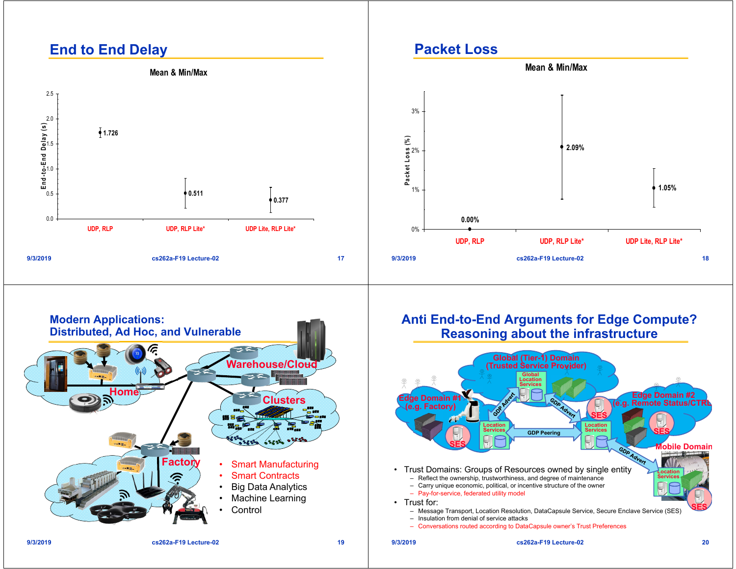# **End to End Delay**



#### **Packet Loss**





#### **Anti End-to-End Arguments for Edge Compute? Reasoning about the infrastructure**

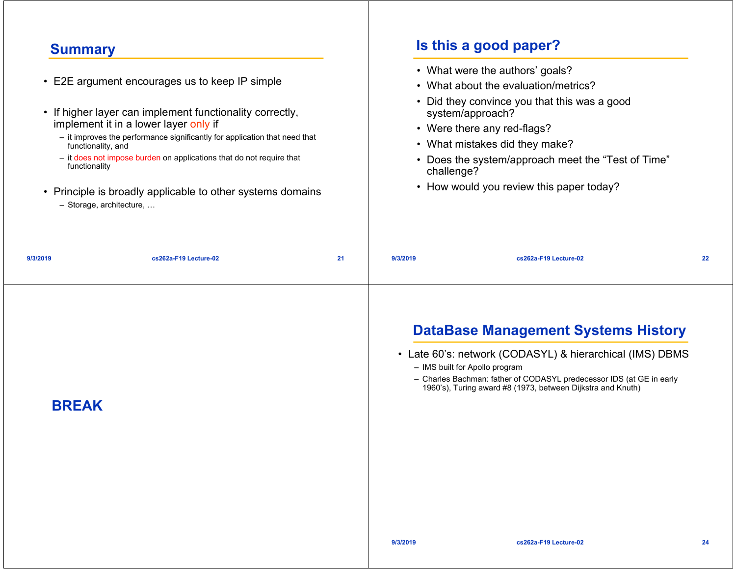#### **Summary**

|                                                                   | • E2E argument encourages us to keep IP simple                                                                                                                                                                                                                                                                        |    |            | • What were the authors' goals?<br>• What about the evaluation/metrics?                                                                                                                                                             |  |
|-------------------------------------------------------------------|-----------------------------------------------------------------------------------------------------------------------------------------------------------------------------------------------------------------------------------------------------------------------------------------------------------------------|----|------------|-------------------------------------------------------------------------------------------------------------------------------------------------------------------------------------------------------------------------------------|--|
| functionality, and<br>functionality<br>$-$ Storage, architecture, | • If higher layer can implement functionality correctly,<br>implement it in a lower layer only if<br>- it improves the performance significantly for application that need that<br>- it does not impose burden on applications that do not require that<br>• Principle is broadly applicable to other systems domains |    | challenge? | • Did they convince you that this was a good<br>system/approach?<br>• Were there any red-flags?<br>• What mistakes did they make?<br>• Does the system/approach meet the "Test of Time"<br>• How would you review this paper today? |  |
| 9/3/2019                                                          | cs262a-F19 Lecture-02                                                                                                                                                                                                                                                                                                 | 21 | 9/3/2019   | cs262a-F19 Lecture-02                                                                                                                                                                                                               |  |

# **DataBase Management Systems History**

- Late 60's: network (CODASYL) & hierarchical (IMS) DBMS
	- IMS built for Apollo program

**Is this a good paper?**

– Charles Bachman: father of CODASYL predecessor IDS (at GE in early 1960's), Turing award #8 (1973, between Dijkstra and Knuth)

#### **BREAK**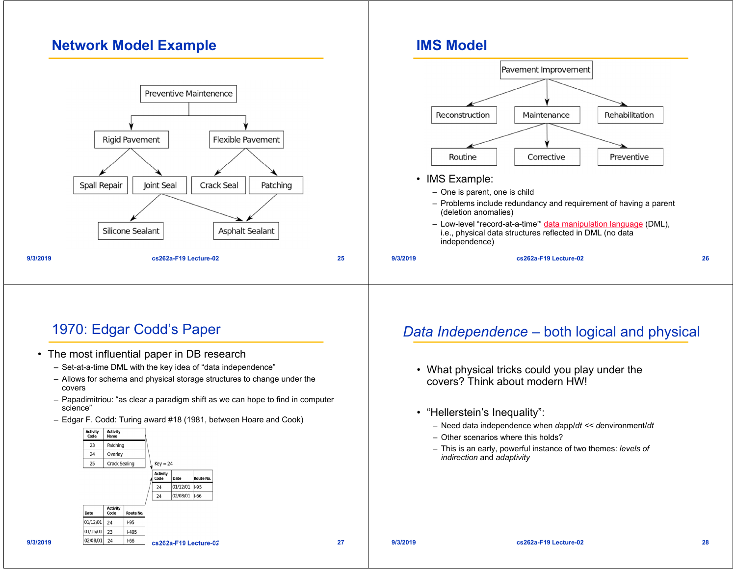### **Network Model Example**



# 1970: Edgar Codd's Paper

- The most influential paper in DB research
	- Set-at-a-time DML with the key idea of "data independence"
	- Allows for schema and physical storage structures to change under the covers
	- Papadimitriou: "as clear a paradigm shift as we can hope to find in computer science"
	- Edgar F. Codd: Turing award #18 (1981, between Hoare and Cook)



#### *Data Independence –* both logical and physical

- What physical tricks could you play under the covers? Think about modern HW!
- "Hellerstein's Inequality":

**IMS Model**

- Need data independence when *d*app/*dt << d*environment/*dt*
- Other scenarios where this holds?
- This is an early, powerful instance of two themes: *levels of indirection* and *adaptivity*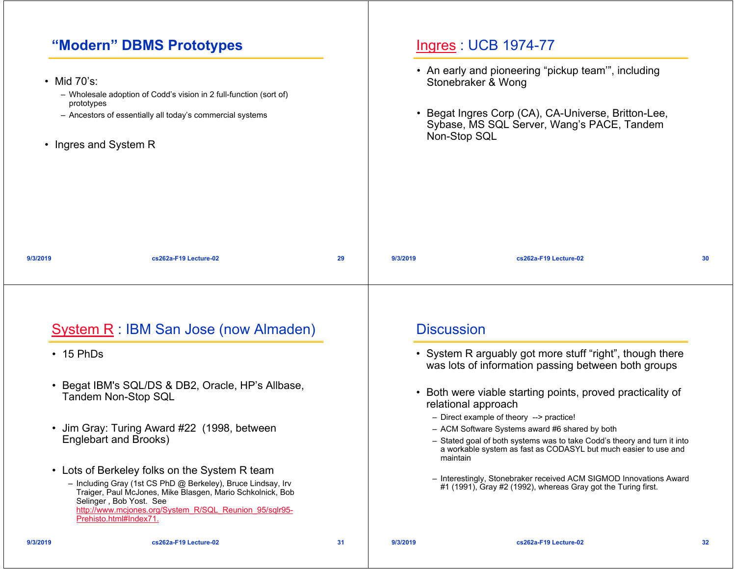# **"Modern" DBMS Prototypes**

|                                                    | "Modern" DBMS Prototypes                                                                                                                                                                                                                                                                   |    |          | <b>Ingres: UCB 1974-77</b>                                                                                                                                                                                                                            |    |
|----------------------------------------------------|--------------------------------------------------------------------------------------------------------------------------------------------------------------------------------------------------------------------------------------------------------------------------------------------|----|----------|-------------------------------------------------------------------------------------------------------------------------------------------------------------------------------------------------------------------------------------------------------|----|
| • Mid 70's:<br>prototypes<br>• Ingres and System R | - Wholesale adoption of Codd's vision in 2 full-function (sort of)<br>- Ancestors of essentially all today's commercial systems                                                                                                                                                            |    |          | • An early and pioneering "pickup team", including<br>Stonebraker & Wong<br>• Begat Ingres Corp (CA), CA-Universe, Britton-Lee,<br>Sybase, MS SQL Server, Wang's PACE, Tandem<br>Non-Stop SQL                                                         |    |
| 9/3/2019                                           | cs262a-F19 Lecture-02                                                                                                                                                                                                                                                                      | 29 | 9/3/2019 | cs262a-F19 Lecture-02                                                                                                                                                                                                                                 | 30 |
|                                                    | <b>System R: IBM San Jose (now Almaden)</b>                                                                                                                                                                                                                                                |    |          | <b>Discussion</b>                                                                                                                                                                                                                                     |    |
| $\cdot$ 15 PhDs                                    |                                                                                                                                                                                                                                                                                            |    |          | • System R arguably got more stuff "right", though there<br>was lots of information passing between both groups                                                                                                                                       |    |
| $\bullet$                                          | Begat IBM's SQL/DS & DB2, Oracle, HP's Allbase,<br><b>Tandem Non-Stop SQL</b>                                                                                                                                                                                                              |    |          | • Both were viable starting points, proved practicality of<br>relational approach                                                                                                                                                                     |    |
|                                                    | • Jim Gray: Turing Award #22 (1998, between<br>Englebart and Brooks)                                                                                                                                                                                                                       |    |          | - Direct example of theory --> practice!<br>- ACM Software Systems award #6 shared by both<br>- Stated goal of both systems was to take Codd's theory and turn it into<br>a workable system as fast as CODASYL but much easier to use and<br>maintain |    |
|                                                    | • Lots of Berkeley folks on the System R team<br>- Including Gray (1st CS PhD @ Berkeley), Bruce Lindsay, Irv<br>Traiger, Paul McJones, Mike Blasgen, Mario Schkolnick, Bob<br>Selinger, Bob Yost. See<br>http://www.mcjones.org/System_R/SQL_Reunion_95/sqlr95-<br>Prehisto.html#Index71. |    |          | - Interestingly, Stonebraker received ACM SIGMOD Innovations Award<br>#1 (1991), Gray #2 (1992), whereas Gray got the Turing first.                                                                                                                   |    |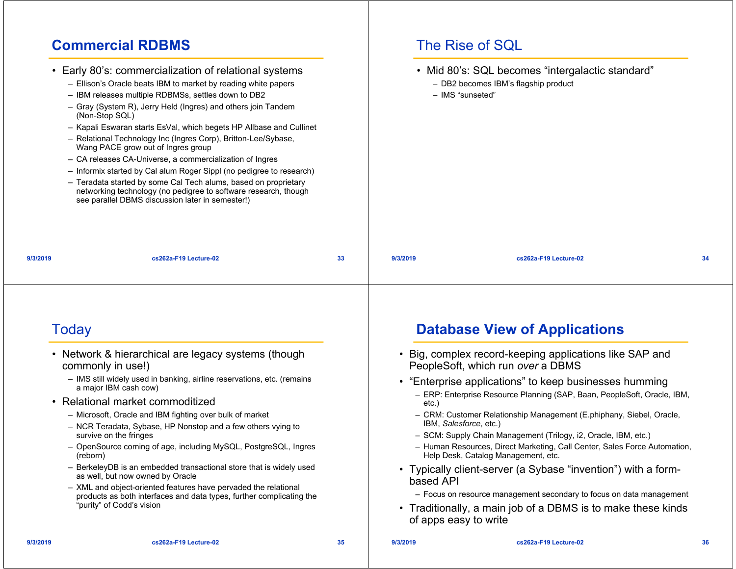#### **Commercial RDBMS**

|                | • Early 80's: commercialization of relational systems<br>- Ellison's Oracle beats IBM to market by reading white papers                                                                                                                                                                                                                                                                                                                                                                                                                                                                                                           |    |          | • Mid 80's: SQL becomes "intergalactic standard"<br>- DB2 becomes IBM's flagship product<br>- IMS "sunseted" |    |
|----------------|-----------------------------------------------------------------------------------------------------------------------------------------------------------------------------------------------------------------------------------------------------------------------------------------------------------------------------------------------------------------------------------------------------------------------------------------------------------------------------------------------------------------------------------------------------------------------------------------------------------------------------------|----|----------|--------------------------------------------------------------------------------------------------------------|----|
| (Non-Stop SQL) | - IBM releases multiple RDBMSs, settles down to DB2<br>- Gray (System R), Jerry Held (Ingres) and others join Tandem<br>- Kapali Eswaran starts EsVal, which begets HP Allbase and Cullinet<br>- Relational Technology Inc (Ingres Corp), Britton-Lee/Sybase,<br>Wang PACE grow out of Ingres group<br>- CA releases CA-Universe, a commercialization of Ingres<br>- Informix started by Cal alum Roger Sippl (no pedigree to research)<br>- Teradata started by some Cal Tech alums, based on proprietary<br>networking technology (no pedigree to software research, though<br>see parallel DBMS discussion later in semester!) |    |          |                                                                                                              |    |
| 9/3/2019       | cs262a-F19 Lecture-02                                                                                                                                                                                                                                                                                                                                                                                                                                                                                                                                                                                                             | 33 | 9/3/2019 | cs262a-F19 Lecture-02                                                                                        | 34 |

#### Today

- Network & hierarchical are legacy systems (though commonly in use!)
	- IMS still widely used in banking, airline reservations, etc. (remains a major IBM cash cow)
- Relational market commoditized
	- Microsoft, Oracle and IBM fighting over bulk of market
	- NCR Teradata, Sybase, HP Nonstop and a few others vying to survive on the fringes
	- OpenSource coming of age, including MySQL, PostgreSQL, Ingres (reborn)
	- BerkeleyDB is an embedded transactional store that is widely used as well, but now owned by Oracle
	- XML and object-oriented features have pervaded the relational products as both interfaces and data types, further complicating the "purity" of Codd's vision

# **Database View of Applications**

The Rise of SQL

- Big, complex record-keeping applications like SAP and PeopleSoft, which run *over* a DBMS
- "Enterprise applications" to keep businesses humming
	- ERP: Enterprise Resource Planning (SAP, Baan, PeopleSoft, Oracle, IBM, etc.)
	- CRM: Customer Relationship Management (E.phiphany, Siebel, Oracle, IBM, *Salesforce*, etc.)
	- SCM: Supply Chain Management (Trilogy, i2, Oracle, IBM, etc.)
	- Human Resources, Direct Marketing, Call Center, Sales Force Automation, Help Desk, Catalog Management, etc.
- Typically client-server (a Sybase "invention") with a formbased API
	- Focus on resource management secondary to focus on data management
- Traditionally, a main job of a DBMS is to make these kinds of apps easy to write

**9/3/2019**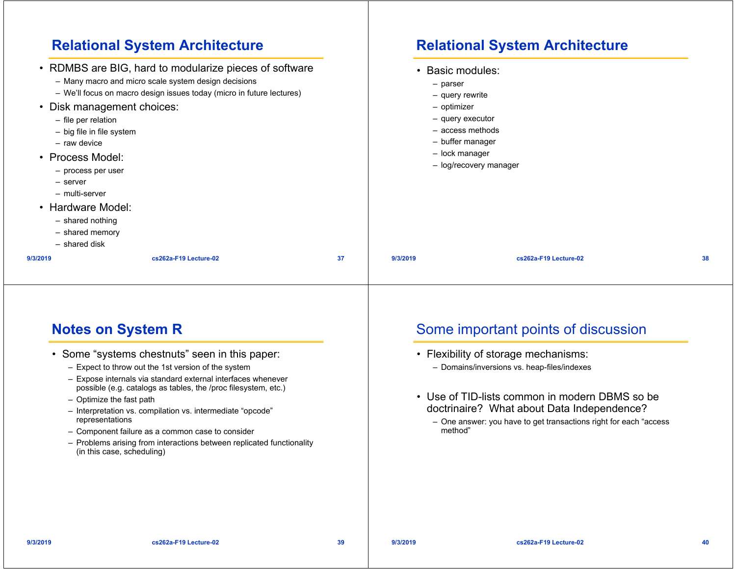|                                                                                                                                                                                                                                                       | <b>Relational System Architecture</b>                                                                                                                                                   |    |          | <b>Relational System Architecture</b>                                                                                                                      |    |
|-------------------------------------------------------------------------------------------------------------------------------------------------------------------------------------------------------------------------------------------------------|-----------------------------------------------------------------------------------------------------------------------------------------------------------------------------------------|----|----------|------------------------------------------------------------------------------------------------------------------------------------------------------------|----|
| Disk management choices:<br>- file per relation<br>- big file in file system<br>- raw device<br>• Process Model:<br>- process per user<br>- server<br>- multi-server<br>• Hardware Model:<br>$-$ shared nothing<br>$-$ shared memory<br>- shared disk | • RDMBS are BIG, hard to modularize pieces of software<br>- Many macro and micro scale system design decisions<br>- We'll focus on macro design issues today (micro in future lectures) |    | - parser | Basic modules:<br>- query rewrite<br>- optimizer<br>- query executor<br>$-$ access methods<br>- buffer manager<br>- lock manager<br>- log/recovery manager |    |
| 9/3/2019                                                                                                                                                                                                                                              | cs262a-F19 Lecture-02                                                                                                                                                                   | 37 | 9/3/2019 | cs262a-F19 Lecture-02                                                                                                                                      | 38 |

#### **Notes on System R**

- Some "systems chestnuts" seen in this paper:
	- Expect to throw out the 1st version of the system
	- Expose internals via standard external interfaces whenever possible (e.g. catalogs as tables, the /proc filesystem, etc.)
	- Optimize the fast path
	- Interpretation vs. compilation vs. intermediate "opcode" representations
	- Component failure as a common case to consider
	- Problems arising from interactions between replicated functionality (in this case, scheduling)

## Some important points of discussion

- Flexibility of storage mechanisms:
	- Domains/inversions vs. heap-files/indexes
- Use of TID-lists common in modern DBMS so be doctrinaire? What about Data Independence?
	- One answer: you have to get transactions right for each "access method"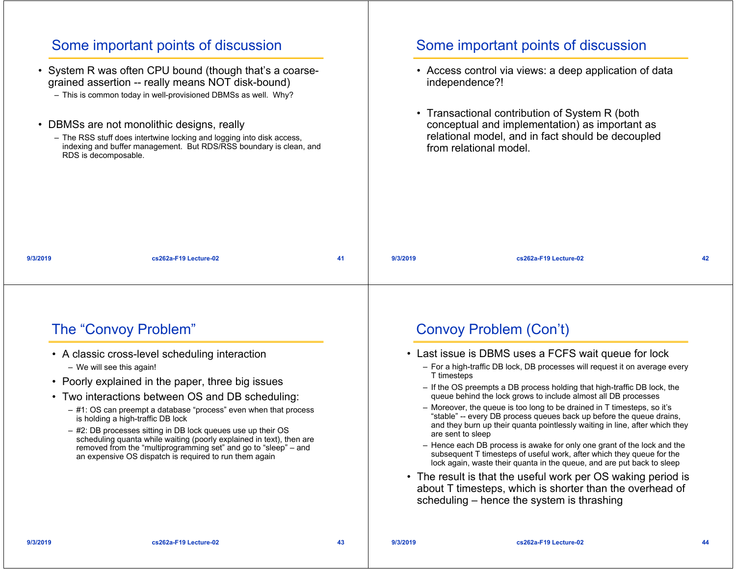|          | Some important points of discussion<br>• System R was often CPU bound (though that's a coarse-<br>grained assertion -- really means NOT disk-bound)<br>- This is common today in well-provisioned DBMSs as well. Why?<br>• DBMSs are not monolithic designs, really<br>- The RSS stuff does intertwine locking and logging into disk access,<br>indexing and buffer management. But RDS/RSS boundary is clean, and<br>RDS is decomposable.                                                                                                                                                 |    |          | Some important points of discussion<br>• Access control via views: a deep application of data<br>independence?!<br>• Transactional contribution of System R (both<br>conceptual and implementation) as important as<br>relational model, and in fact should be decoupled<br>from relational model.                                                                                                                                                                                                                                                                                                                                                                                                                                                                                                                                                                                                                                                                                               |    |
|----------|--------------------------------------------------------------------------------------------------------------------------------------------------------------------------------------------------------------------------------------------------------------------------------------------------------------------------------------------------------------------------------------------------------------------------------------------------------------------------------------------------------------------------------------------------------------------------------------------|----|----------|--------------------------------------------------------------------------------------------------------------------------------------------------------------------------------------------------------------------------------------------------------------------------------------------------------------------------------------------------------------------------------------------------------------------------------------------------------------------------------------------------------------------------------------------------------------------------------------------------------------------------------------------------------------------------------------------------------------------------------------------------------------------------------------------------------------------------------------------------------------------------------------------------------------------------------------------------------------------------------------------------|----|
| 9/3/2019 | cs262a-F19 Lecture-02                                                                                                                                                                                                                                                                                                                                                                                                                                                                                                                                                                      | 41 | 9/3/2019 | cs262a-F19 Lecture-02                                                                                                                                                                                                                                                                                                                                                                                                                                                                                                                                                                                                                                                                                                                                                                                                                                                                                                                                                                            | 42 |
|          | The "Convoy Problem"<br>• A classic cross-level scheduling interaction<br>- We will see this again!<br>• Poorly explained in the paper, three big issues<br>• Two interactions between OS and DB scheduling:<br>- #1: OS can preempt a database "process" even when that process<br>is holding a high-traffic DB lock<br>- #2: DB processes sitting in DB lock queues use up their OS<br>scheduling quanta while waiting (poorly explained in text), then are<br>removed from the "multiprogramming set" and go to "sleep" – and<br>an expensive OS dispatch is required to run them again |    |          | <b>Convoy Problem (Con't)</b><br>• Last issue is DBMS uses a FCFS wait queue for lock<br>- For a high-traffic DB lock, DB processes will request it on average every<br>T timesteps<br>- If the OS preempts a DB process holding that high-traffic DB lock, the<br>queue behind the lock grows to include almost all DB processes<br>- Moreover, the queue is too long to be drained in T timesteps, so it's<br>"stable" -- every DB process queues back up before the queue drains,<br>and they burn up their quanta pointlessly waiting in line, after which they<br>are sent to sleep<br>- Hence each DB process is awake for only one grant of the lock and the<br>subsequent T timesteps of useful work, after which they queue for the<br>lock again, waste their quanta in the queue, and are put back to sleep<br>• The result is that the useful work per OS waking period is<br>about T timesteps, which is shorter than the overhead of<br>scheduling – hence the system is thrashing |    |
| 9/3/2019 | cs262a-F19 Lecture-02                                                                                                                                                                                                                                                                                                                                                                                                                                                                                                                                                                      | 43 | 9/3/2019 | cs262a-F19 Lecture-02                                                                                                                                                                                                                                                                                                                                                                                                                                                                                                                                                                                                                                                                                                                                                                                                                                                                                                                                                                            | 44 |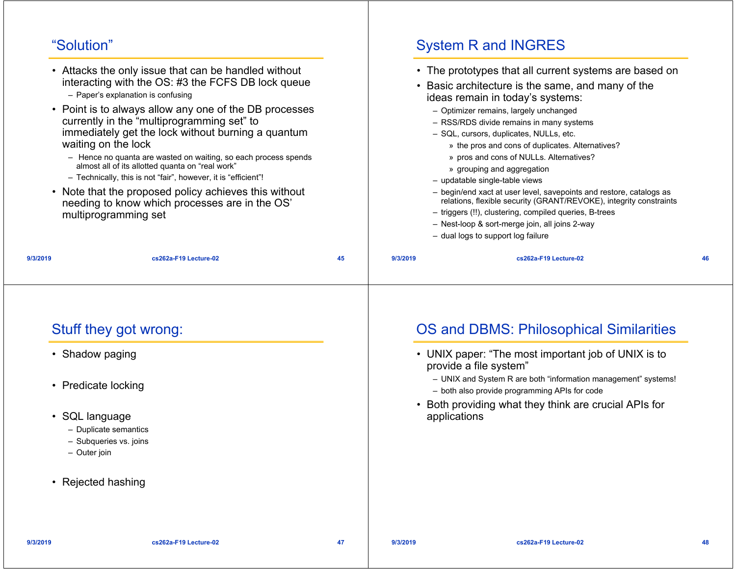### "Solution"

| <b>System R and INGRES</b>                                                                                                                                                                                                                                                                                                                                                                                                                                                                                                                                                                                                                                                                                                                     | "Solution"                                                                                                                                                                                                                                                                                                                                                                                                                                                                                                                                                                                                                                                        |           |
|------------------------------------------------------------------------------------------------------------------------------------------------------------------------------------------------------------------------------------------------------------------------------------------------------------------------------------------------------------------------------------------------------------------------------------------------------------------------------------------------------------------------------------------------------------------------------------------------------------------------------------------------------------------------------------------------------------------------------------------------|-------------------------------------------------------------------------------------------------------------------------------------------------------------------------------------------------------------------------------------------------------------------------------------------------------------------------------------------------------------------------------------------------------------------------------------------------------------------------------------------------------------------------------------------------------------------------------------------------------------------------------------------------------------------|-----------|
| • The prototypes that all current systems are based on<br>• Basic architecture is the same, and many of the<br>ideas remain in today's systems:<br>- Optimizer remains, largely unchanged<br>- RSS/RDS divide remains in many systems<br>- SQL, cursors, duplicates, NULLs, etc.<br>» the pros and cons of duplicates. Alternatives?<br>» pros and cons of NULLs. Alternatives?<br>» grouping and aggregation<br>- updatable single-table views<br>- begin/end xact at user level, savepoints and restore, catalogs as<br>relations, flexible security (GRANT/REVOKE), integrity constraints<br>- triggers (!!), clustering, compiled queries, B-trees<br>- Nest-loop & sort-merge join, all joins 2-way<br>- dual logs to support log failure | • Attacks the only issue that can be handled without<br>interacting with the OS: #3 the FCFS DB lock queue<br>- Paper's explanation is confusing<br>• Point is to always allow any one of the DB processes<br>currently in the "multiprogramming set" to<br>immediately get the lock without burning a quantum<br>waiting on the lock<br>- Hence no quanta are wasted on waiting, so each process spends<br>almost all of its allotted quanta on "real work"<br>- Technically, this is not "fair", however, it is "efficient"!<br>• Note that the proposed policy achieves this without<br>needing to know which processes are in the OS'<br>multiprogramming set |           |
| 45<br>9/3/2019<br>cs262a-F19 Lecture-02<br>46                                                                                                                                                                                                                                                                                                                                                                                                                                                                                                                                                                                                                                                                                                  | cs262a-F19 Lecture-02                                                                                                                                                                                                                                                                                                                                                                                                                                                                                                                                                                                                                                             | 9/3/2019  |
| <b>OS and DBMS: Philosophical Similarities</b><br>• UNIX paper: "The most important job of UNIX is to<br>provide a file system"<br>- UNIX and System R are both "information management" systems!<br>- both also provide programming APIs for code<br>• Both providing what they think are crucial APIs for<br>applications                                                                                                                                                                                                                                                                                                                                                                                                                    | Stuff they got wrong:<br>• Shadow paging<br>• Predicate locking<br>SQL language<br>- Duplicate semantics<br>- Subqueries vs. joins<br>- Outer join<br>• Rejected hashing                                                                                                                                                                                                                                                                                                                                                                                                                                                                                          | $\bullet$ |
|                                                                                                                                                                                                                                                                                                                                                                                                                                                                                                                                                                                                                                                                                                                                                |                                                                                                                                                                                                                                                                                                                                                                                                                                                                                                                                                                                                                                                                   |           |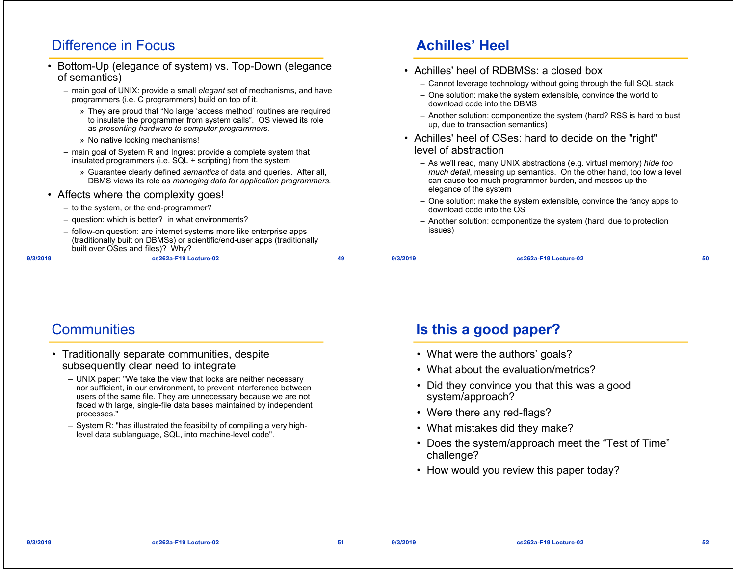### Difference in Focus

- • Bottom-Up (elegance of system) vs. Top-Down (elegance of semantics)
	- main goal of UNIX: provide a small *elegant* set of mechanisms, and have programmers (i.e. C programmers) build on top of it.
		- » They are proud that "No large 'access method' routines are required to insulate the programmer from system calls". OS viewed its role as *presenting hardware to computer programmers.*
		- » No native locking mechanisms!
	- main goal of System R and Ingres: provide a complete system that insulated programmers (i.e. SQL + scripting) from the system
		- » Guarantee clearly defined *semantics* of data and queries. After all, DBMS views its role as *managing data for application programmers.*
- Affects where the complexity goes!
	- to the system, or the end-programmer?
	- question: which is better? in what environments?
	- follow-on question: are internet systems more like enterprise apps (traditionally built on DBMSs) or scientific/end-user apps (traditionally built over OSes and files)? Why?

```
9/3/2019
```
**cs262a-F19 Lecture-02 49**

# **Achilles' Heel**

- Achilles' heel of RDBMSs: a closed box
	- Cannot leverage technology without going through the full SQL stack
	- One solution: make the system extensible, convince the world to download code into the DBMS
	- Another solution: componentize the system (hard? RSS is hard to bust up, due to transaction semantics)
- Achilles' heel of OSes: hard to decide on the "right" level of abstraction
	- As we'll read, many UNIX abstractions (e.g. virtual memory) *hide too much detail*, messing up semantics. On the other hand, too low a level can cause too much programmer burden, and messes up the elegance of the system
	- One solution: make the system extensible, convince the fancy apps to download code into the OS
	- Another solution: componentize the system (hard, due to protection issues)

| . .<br>/3/201 |
|---------------|
|---------------|

**cs262a-F19 Lecture-02 50**

#### **Communities**

- Traditionally separate communities, despite subsequently clear need to integrate
	- UNIX paper: "We take the view that locks are neither necessary nor sufficient, in our environment, to prevent interference between users of the same file. They are unnecessary because we are not faced with large, single-file data bases maintained by independent processes."
	- System R: "has illustrated the feasibility of compiling a very highlevel data sublanguage, SQL, into machine-level code".

# **Is this a good paper?**

- What were the authors' goals?
- What about the evaluation/metrics?
- Did they convince you that this was a good system/approach?
- Were there any red-flags?
- What mistakes did they make?
- Does the system/approach meet the "Test of Time" challenge?
- How would you review this paper today?